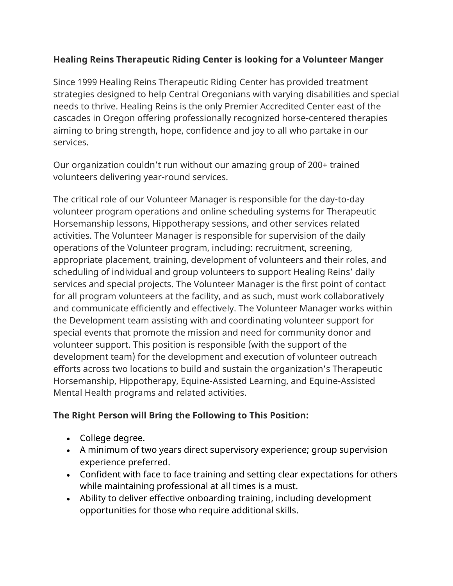## **Healing Reins Therapeutic Riding Center is looking for a Volunteer Manger**

Since 1999 Healing Reins Therapeutic Riding Center has provided treatment strategies designed to help Central Oregonians with varying disabilities and special needs to thrive. Healing Reins is the only Premier Accredited Center east of the cascades in Oregon offering professionally recognized horse-centered therapies aiming to bring strength, hope, confidence and joy to all who partake in our services.

Our organization couldn't run without our amazing group of 200+ trained volunteers delivering year-round services.

The critical role of our Volunteer Manager is responsible for the day-to-day volunteer program operations and online scheduling systems for Therapeutic Horsemanship lessons, Hippotherapy sessions, and other services related activities. The Volunteer Manager is responsible for supervision of the daily operations of the Volunteer program, including: recruitment, screening, appropriate placement, training, development of volunteers and their roles, and scheduling of individual and group volunteers to support Healing Reins' daily services and special projects. The Volunteer Manager is the first point of contact for all program volunteers at the facility, and as such, must work collaboratively and communicate efficiently and effectively. The Volunteer Manager works within the Development team assisting with and coordinating volunteer support for special events that promote the mission and need for community donor and volunteer support. This position is responsible (with the support of the development team) for the development and execution of volunteer outreach efforts across two locations to build and sustain the organization's Therapeutic Horsemanship, Hippotherapy, Equine-Assisted Learning, and Equine-Assisted Mental Health programs and related activities.

## **The Right Person will Bring the Following to This Position:**

- College degree.
- A minimum of two years direct supervisory experience; group supervision experience preferred.
- Confident with face to face training and setting clear expectations for others while maintaining professional at all times is a must.
- Ability to deliver effective onboarding training, including development opportunities for those who require additional skills.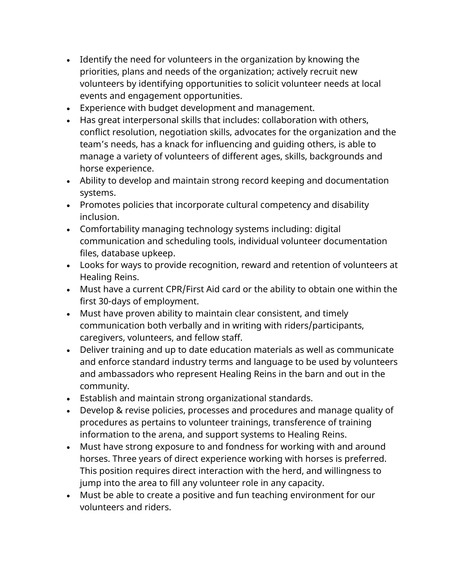- Identify the need for volunteers in the organization by knowing the priorities, plans and needs of the organization; actively recruit new volunteers by identifying opportunities to solicit volunteer needs at local events and engagement opportunities.
- Experience with budget development and management.
- Has great interpersonal skills that includes: collaboration with others, conflict resolution, negotiation skills, advocates for the organization and the team's needs, has a knack for influencing and guiding others, is able to manage a variety of volunteers of different ages, skills, backgrounds and horse experience.
- Ability to develop and maintain strong record keeping and documentation systems.
- Promotes policies that incorporate cultural competency and disability inclusion.
- Comfortability managing technology systems including: digital communication and scheduling tools, individual volunteer documentation files, database upkeep.
- Looks for ways to provide recognition, reward and retention of volunteers at Healing Reins.
- Must have a current CPR/First Aid card or the ability to obtain one within the first 30-days of employment.
- Must have proven ability to maintain clear consistent, and timely communication both verbally and in writing with riders/participants, caregivers, volunteers, and fellow staff.
- Deliver training and up to date education materials as well as communicate and enforce standard industry terms and language to be used by volunteers and ambassadors who represent Healing Reins in the barn and out in the community.
- Establish and maintain strong organizational standards.
- Develop & revise policies, processes and procedures and manage quality of procedures as pertains to volunteer trainings, transference of training information to the arena, and support systems to Healing Reins.
- Must have strong exposure to and fondness for working with and around horses. Three years of direct experience working with horses is preferred. This position requires direct interaction with the herd, and willingness to jump into the area to fill any volunteer role in any capacity.
- Must be able to create a positive and fun teaching environment for our volunteers and riders.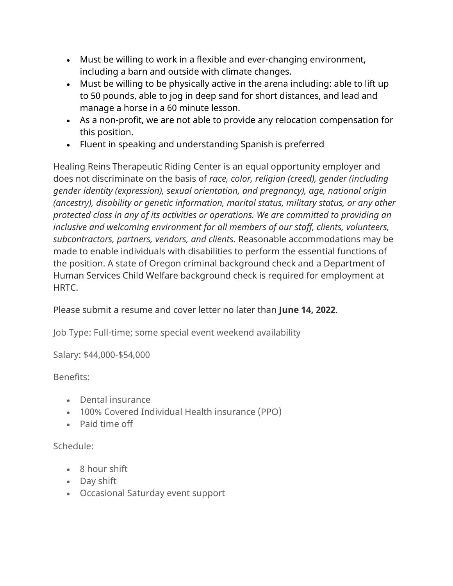- Must be willing to work in a flexible and ever-changing environment, including a barn and outside with climate changes.
- Must be willing to be physically active in the arena including: able to lift up to 50 pounds, able to jog in deep sand for short distances, and lead and manage a horse in a 60 minute lesson.
- As a non-profit, we are not able to provide any relocation compensation for this position.
- Fluent in speaking and understanding Spanish is preferred

Healing Reins Therapeutic Riding Center is an equal opportunity employer and does not discriminate on the basis of *race, color, religion (creed), gender (including gender identity (expression), sexual orientation, and pregnancy), age, national origin (ancestry), disability or genetic information, marital status, military status, or any other protected class in any of its activities or operations. We are committed to providing an inclusive and welcoming environment for all members of our staff, clients, volunteers, subcontractors, partners, vendors, and clients.* Reasonable accommodations may be made to enable individuals with disabilities to perform the essential functions of the position. A state of Oregon criminal background check and a Department of Human Services Child Welfare background check is required for employment at **HRTC** 

Please submit a resume and cover letter no later than **June 14, 2022**.

Job Type: Full-time; some special event weekend availability

Salary: \$44,000-\$54,000

## Benefits:

- Dental insurance
- 100% Covered Individual Health insurance (PPO)
- Paid time off

## Schedule:

- 8 hour shift
- Day shift
- Occasional Saturday event support